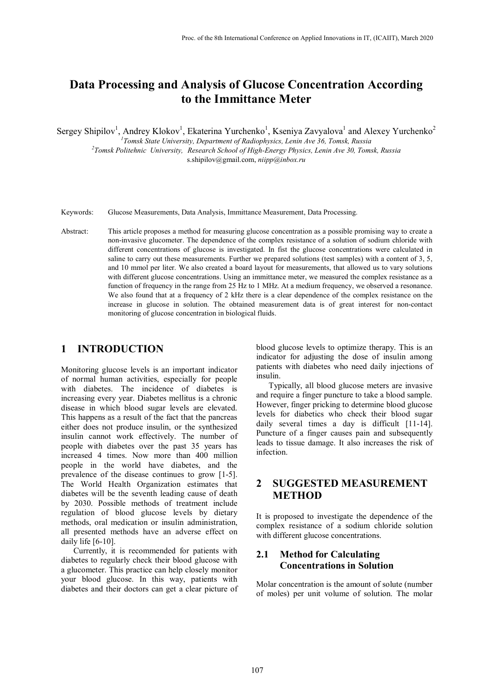# **Data Processing and Analysis of Glucose Concentration According to the Immittance Meter**

Sergey Shipilov<sup>1</sup>, Andrey Klokov<sup>1</sup>, Ekaterina Yurchenko<sup>1</sup>, Kseniya Zavyalova<sup>1</sup> and Alexey Yurchenko<sup>2</sup>

*1 Tomsk State University, Department of Radiophysics, Lenin Ave 36, Tomsk, Russia*

*2 Tomsk Politehnic University, Research School of High-Energy Physics, Lenin Ave 30, Tomsk, Russia* s.shipilov@gmail.com, *niipp@inbox.ru*

Keywords: Glucose Measurements, Data Analysis, Immittance Measurement, Data Processing.

Abstract: This article proposes a method for measuring glucose concentration as a possible promising way to create a non-invasive glucometer. The dependence of the complex resistance of a solution of sodium chloride with different concentrations of glucose is investigated. In fist the glucose concentrations were calculated in saline to carry out these measurements. Further we prepared solutions (test samples) with a content of 3, 5, and 10 mmol per liter. We also created a board layout for measurements, that allowed us to vary solutions with different glucose concentrations. Using an immittance meter, we measured the complex resistance as a function of frequency in the range from 25 Hz to 1 MHz. At a medium frequency, we observed a resonance. We also found that at a frequency of 2 kHz there is a clear dependence of the complex resistance on the increase in glucose in solution. The obtained measurement data is of great interest for non-contact monitoring of glucose concentration in biological fluids.

## **1 INTRODUCTION**

Monitoring glucose levels is an important indicator of normal human activities, especially for people with diabetes. The incidence of diabetes is increasing every year. Diabetes mellitus is a chronic disease in which blood sugar levels are elevated. This happens as a result of the fact that the pancreas either does not produce insulin, or the synthesized insulin cannot work effectively. The number of people with diabetes over the past 35 years has increased 4 times. Now more than 400 million people in the world have diabetes, and the prevalence of the disease continues to grow [1-5]. The World Health Organization estimates that diabetes will be the seventh leading cause of death by 2030. Possible methods of treatment include regulation of blood glucose levels by dietary methods, oral medication or insulin administration, all presented methods have an adverse effect on daily life [6-10].

Currently, it is recommended for patients with diabetes to regularly check their blood glucose with a glucometer. This practice can help closely monitor your blood glucose. In this way, patients with diabetes and their doctors can get a clear picture of

blood glucose levels to optimize therapy. This is an indicator for adjusting the dose of insulin among patients with diabetes who need daily injections of insulin.

Typically, all blood glucose meters are invasive and require a finger puncture to take a blood sample. However, finger pricking to determine blood glucose levels for diabetics who check their blood sugar daily several times a day is difficult [11-14]. Puncture of a finger causes pain and subsequently leads to tissue damage. It also increases the risk of infection.

## **2 SUGGESTED MEASUREMENT METHOD**

It is proposed to investigate the dependence of the complex resistance of a sodium chloride solution with different glucose concentrations.

## **2.1 Method for Calculating Concentrations in Solution**

Molar concentration is the amount of solute (number of moles) per unit volume of solution. The molar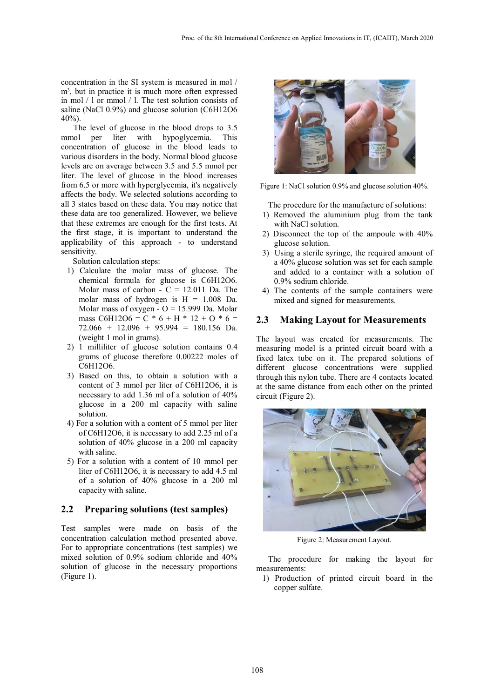concentration in the SI system is measured in mol / m<sup>3</sup>, but in practice it is much more often expressed in mol / l or mmol / l. The test solution consists of saline (NaCl 0.9%) and glucose solution (C6H12O6 40%).

The level of glucose in the blood drops to 3.5 mmol per liter with hypoglycemia. This concentration of glucose in the blood leads to various disorders in the body. Normal blood glucose levels are on average between 3.5 and 5.5 mmol per liter. The level of glucose in the blood increases from 6.5 or more with hyperglycemia, it's negatively affects the body. We selected solutions according to all 3 states based on these data. You may notice that these data are too generalized. However, we believe that these extremes are enough for the first tests. At the first stage, it is important to understand the applicability of this approach - to understand sensitivity.

Solution calculation steps:

- 1) Calculate the molar mass of glucose. The chemical formula for glucose is C6H12O6. Molar mass of carbon -  $C = 12.011$  Da. The molar mass of hydrogen is  $H = 1.008$  Da. Molar mass of oxygen -  $O = 15.999$  Da. Molar mass C6H12O6 =  $C * 6 + H * 12 + O * 6 =$  $72.066 + 12.096 + 95.994 = 180.156$  Da. (weight 1 mol in grams).
- 2) 1 milliliter of glucose solution contains 0.4 grams of glucose therefore 0.00222 moles of C6H12O6.
- 3) Based on this, to obtain a solution with a content of 3 mmol per liter of C6H12O6, it is necessary to add 1.36 ml of a solution of 40% glucose in a 200 ml capacity with saline solution.
- 4) For a solution with a content of 5 mmol per liter of C6H12O6, it is necessary to add 2.25 ml of a solution of 40% glucose in a 200 ml capacity with saline.
- 5) For a solution with a content of 10 mmol per liter of C6H12O6, it is necessary to add 4.5 ml of a solution of 40% glucose in a 200 ml capacity with saline.

#### **2.2 Preparing solutions (test samples)**

Test samples were made on basis of the concentration calculation method presented above. For to appropriate concentrations (test samples) we mixed solution of 0.9% sodium chloride and 40% solution of glucose in the necessary proportions (Figure 1).



Figure 1: NaCl solution 0.9% and glucose solution 40%.

The procedure for the manufacture of solutions:

- 1) Removed the aluminium plug from the tank with NaCl solution.
- 2) Disconnect the top of the ampoule with 40% glucose solution.
- 3) Using a sterile syringe, the required amount of a 40% glucose solution was set for each sample and added to a container with a solution of 0.9% sodium chloride.
- 4) The contents of the sample containers were mixed and signed for measurements.

#### **2.3 Making Layout for Measurements**

The layout was created for measurements. The measuring model is a printed circuit board with a fixed latex tube on it. The prepared solutions of different glucose concentrations were supplied through this nylon tube. There are 4 contacts located at the same distance from each other on the printed circuit (Figure 2).



Figure 2: Measurement Layout.

The procedure for making the layout for measurements:

1) Production of printed circuit board in the copper sulfate.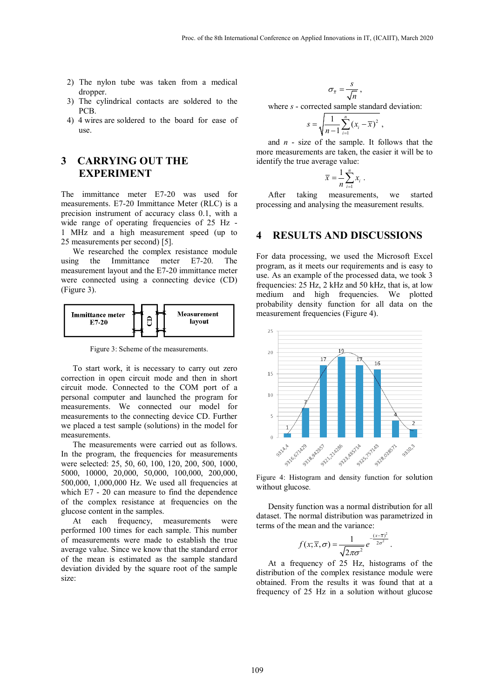- 2) The nylon tube was taken from a medical dropper.
- 3) The cylindrical contacts are soldered to the PCB.
- 4) 4 wires are soldered to the board for ease of use.

## **3 CARRYING OUT THE EXPERIMENT**

The immittance meter E7-20 was used for measurements. E7-20 Immittance Meter (RLC) is a precision instrument of accuracy class 0.1, with a wide range of operating frequencies of 25 Hz -1 MHz and a high measurement speed (up to 25 measurements per second) [5].

We researched the complex resistance module using the Immittance meter E7-20. The measurement layout and the E7-20 immittance meter were connected using a connecting device (CD) (Figure 3).



Figure 3: Scheme of the measurements.

To start work, it is necessary to carry out zero correction in open circuit mode and then in short circuit mode. Connected to the COM port of a personal computer and launched the program for measurements. We connected our model for measurements to the connecting device CD. Further we placed a test sample (solutions) in the model for measurements.

The measurements were carried out as follows. In the program, the frequencies for measurements were selected: 25, 50, 60, 100, 120, 200, 500, 1000, 5000, 10000, 20,000, 50,000, 100,000, 200,000, 500,000, 1,000,000 Hz. We used all frequencies at which E7 - 20 can measure to find the dependence of the complex resistance at frequencies on the glucose content in the samples.

At each frequency, measurements were performed 100 times for each sample. This number of measurements were made to establish the true average value. Since we know that the standard error of the mean is estimated as the sample standard deviation divided by the square root of the sample size:

 $\frac{s}{\bar{x}} = \frac{s}{l}$ *n*  $\sigma_{\overline{x}} = \frac{s}{\sqrt{n}}$ ,

where *s* - corrected sample standard deviation:

$$
s = \sqrt{\frac{1}{n-1} \sum_{i=1}^{n} (x_i - \overline{x})^2} ,
$$

and *n* - size of the sample. It follows that the more measurements are taken, the easier it will be to identify the true average value:

$$
\overline{x} = \frac{1}{n} \sum_{i=1}^{n} x_i \; .
$$

After taking measurements, we started processing and analysing the measurement results.

## **4 RESULTS AND DISCUSSIONS**

For data processing, we used the Microsoft Excel program, as it meets our requirements and is easy to use. As an example of the processed data, we took 3 frequencies: 25 Hz, 2 kHz and 50 kHz, that is, at low medium and high frequencies. We plotted probability density function for all data on the measurement frequencies (Figure 4).



Figure 4: Histogram and density function for solution without glucose.

Density function was a normal distribution for all dataset. The normal distribution was parametrized in terms of the mean and the variance:

$$
f(x;\overline{x},\sigma)=\frac{1}{\sqrt{2\pi\sigma^2}}e^{-\frac{(x-\overline{x})^2}{2\sigma^2}}.
$$

At a frequency of 25 Hz, histograms of the distribution of the complex resistance module were obtained. From the results it was found that at a frequency of 25 Hz in a solution without glucose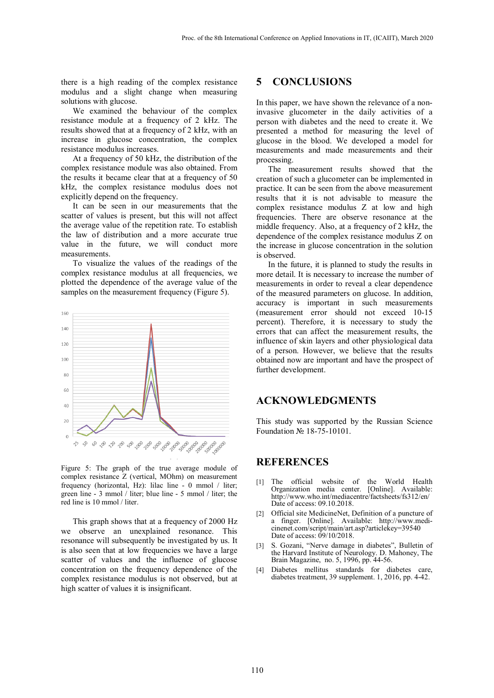there is a high reading of the complex resistance modulus and a slight change when measuring solutions with glucose.

We examined the behaviour of the complex resistance module at a frequency of 2 kHz. The results showed that at a frequency of 2 kHz, with an increase in glucose concentration, the complex resistance modulus increases.

At a frequency of 50 kHz, the distribution of the complex resistance module was also obtained. From the results it became clear that at a frequency of 50 kHz, the complex resistance modulus does not explicitly depend on the frequency.

It can be seen in our measurements that the scatter of values is present, but this will not affect the average value of the repetition rate. To establish the law of distribution and a more accurate true value in the future, we will conduct more measurements.

To visualize the values of the readings of the complex resistance modulus at all frequencies, we plotted the dependence of the average value of the samples on the measurement frequency (Figure 5).



Figure 5: The graph of the true average module of complex resistance Z (vertical, MOhm) on measurement frequency (horizontal, Hz): lilac line - 0 mmol / liter; green line - 3 mmol / liter; blue line - 5 mmol / liter; the red line is 10 mmol / liter.

This graph shows that at a frequency of 2000 Hz we observe an unexplained resonance. This resonance will subsequently be investigated by us. It is also seen that at low frequencies we have a large scatter of values and the influence of glucose concentration on the frequency dependence of the complex resistance modulus is not observed, but at high scatter of values it is insignificant.

## **5 CONCLUSIONS**

In this paper, we have shown the relevance of a noninvasive glucometer in the daily activities of a person with diabetes and the need to create it. We presented a method for measuring the level of glucose in the blood. We developed a model for measurements and made measurements and their processing.

The measurement results showed that the creation of such a glucometer can be implemented in practice. It can be seen from the above measurement results that it is not advisable to measure the complex resistance modulus Z at low and high frequencies. There are observe resonance at the middle frequency. Also, at a frequency of 2 kHz, the dependence of the complex resistance modulus Z on the increase in glucose concentration in the solution is observed.

In the future, it is planned to study the results in more detail. It is necessary to increase the number of measurements in order to reveal a clear dependence of the measured parameters on glucose. In addition, accuracy is important in such measurements (measurement error should not exceed 10-15 percent). Therefore, it is necessary to study the errors that can affect the measurement results, the influence of skin layers and other physiological data of a person. However, we believe that the results obtained now are important and have the prospect of further development.

## **ACKNOWLEDGMENTS**

This study was supported by the Russian Science Foundation № 18-75-10101.

## **REFERENCES**

- [1] The official website of the World Health Organization media center. [Online]. Available: http://www.who.int/mediacentre/factsheets/fs312/en/ Date of access: 09.10.2018.
- [2] Official site MedicineNet, Definition of a puncture of cinenet.com/script/main/art.asp?articlekey=39540 Date of access: 09/10/2018.
- [3] S. Gozani, "Nerve damage in diabetes", Bulletin of the Harvard Institute of Neurology. D. Mahoney, The Brain Magazine, no. 5, 1996, pp. 44-56.
- [4] Diabetes mellitus standards for diabetes care, diabetes treatment, 39 supplement. 1, 2016, pp. 4-42.